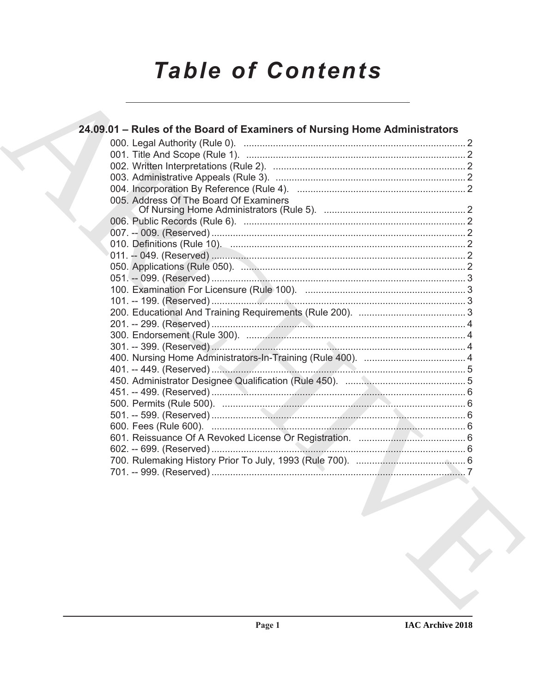# **Table of Contents**

| 24.09.01 - Rules of the Board of Examiners of Nursing Home Administrators |  |
|---------------------------------------------------------------------------|--|
|                                                                           |  |
|                                                                           |  |
|                                                                           |  |
|                                                                           |  |
|                                                                           |  |
| 005. Address Of The Board Of Examiners                                    |  |
|                                                                           |  |
|                                                                           |  |
|                                                                           |  |
|                                                                           |  |
|                                                                           |  |
|                                                                           |  |
|                                                                           |  |
|                                                                           |  |
|                                                                           |  |
|                                                                           |  |
|                                                                           |  |
|                                                                           |  |
|                                                                           |  |
|                                                                           |  |
|                                                                           |  |
|                                                                           |  |
|                                                                           |  |
|                                                                           |  |
|                                                                           |  |
|                                                                           |  |
|                                                                           |  |
|                                                                           |  |
|                                                                           |  |
|                                                                           |  |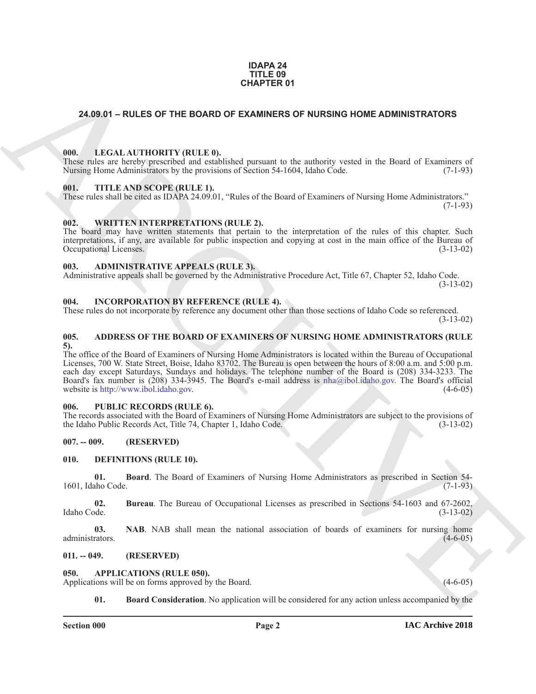#### **IDAPA 24 TITLE 09 CHAPTER 01**

#### <span id="page-1-0"></span>**24.09.01 – RULES OF THE BOARD OF EXAMINERS OF NURSING HOME ADMINISTRATORS**

#### <span id="page-1-21"></span><span id="page-1-1"></span>**000. LEGAL AUTHORITY (RULE 0).**

These rules are hereby prescribed and established pursuant to the authority vested in the Board of Examiners of Nursing Home Administrators by the provisions of Section 54-1604, Idaho Code.  $(7-1-93)$ 

#### <span id="page-1-23"></span><span id="page-1-2"></span>**001. TITLE AND SCOPE (RULE 1).**

These rules shall be cited as IDAPA 24.09.01, "Rules of the Board of Examiners of Nursing Home Administrators."  $(7-1-93)$ 

#### <span id="page-1-24"></span><span id="page-1-3"></span>**002. WRITTEN INTERPRETATIONS (RULE 2).**

The board may have written statements that pertain to the interpretation of the rules of this chapter. Such interpretations, if any, are available for public inspection and copying at cost in the main office of the Bureau of Occupational Licenses. (3-13-02)

#### <span id="page-1-13"></span><span id="page-1-4"></span>**003. ADMINISTRATIVE APPEALS (RULE 3).**

Administrative appeals shall be governed by the Administrative Procedure Act, Title 67, Chapter 52, Idaho Code. (3-13-02)

#### <span id="page-1-20"></span><span id="page-1-5"></span>**004. INCORPORATION BY REFERENCE (RULE 4).**

These rules do not incorporate by reference any document other than those sections of Idaho Code so referenced. (3-13-02)

#### <span id="page-1-12"></span><span id="page-1-6"></span>**005. ADDRESS OF THE BOARD OF EXAMINERS OF NURSING HOME ADMINISTRATORS (RULE 5).**

**CHAPTER OF**<br>
24.09.01 – RULES OF THE BOARD OF EXAMINERS OF NURSING HOME ADMINISTRATORS<br>
24.09.01 – RULES OF THE BOARD COPE ARC[HI](mailto:nha@ibol.idaho.gov)VES AND A SURFACE TO REPORT THE AND SOMETIME TO RELATE THE ANSES COPE ARCHIVES (10.45 minist The office of the Board of Examiners of Nursing Home Administrators is located within the Bureau of Occupational Licenses, 700 W. State Street, Boise, Idaho 83702. The Bureau is open between the hours of 8:00 a.m. and 5:00 p.m. each day except Saturdays, Sundays and holidays. The telephone number of the Board is (208) 334-3233. The Board's fax number is (208) 334-3945. The Board's e-mail address is nha@ibol.idaho.gov. The Board's official website is http://www.ibol.idaho.gov. (4-6-05) website is http://www.ibol.idaho.gov.

#### <span id="page-1-22"></span><span id="page-1-7"></span>**006. PUBLIC RECORDS (RULE 6).**

The records associated with the Board of Examiners of Nursing Home Administrators are subject to the provisions of the Idaho Public Records Act, Title 74, Chapter 1, Idaho Code. (3-13-02)

#### <span id="page-1-8"></span>**007. -- 009. (RESERVED)**

#### <span id="page-1-16"></span><span id="page-1-9"></span>**010. DEFINITIONS (RULE 10).**

<span id="page-1-17"></span>**01. Board**. The Board of Examiners of Nursing Home Administrators as prescribed in Section 54- 1601, Idaho Code. (7-1-93)

<span id="page-1-18"></span>**02. Bureau**. The Bureau of Occupational Licenses as prescribed in Sections 54-1603 and 67-2602, Idaho Code. (3-13-02)

<span id="page-1-19"></span>**03. NAB**. NAB shall mean the national association of boards of examiners for nursing home administrators. (4-6-05)

#### <span id="page-1-10"></span>**011. -- 049. (RESERVED)**

#### <span id="page-1-14"></span><span id="page-1-11"></span>**050. APPLICATIONS (RULE 050).**

Applications will be on forms approved by the Board. (4-6-05) (4-6-05)

<span id="page-1-15"></span>**01. Board Consideration**. No application will be considered for any action unless accompanied by the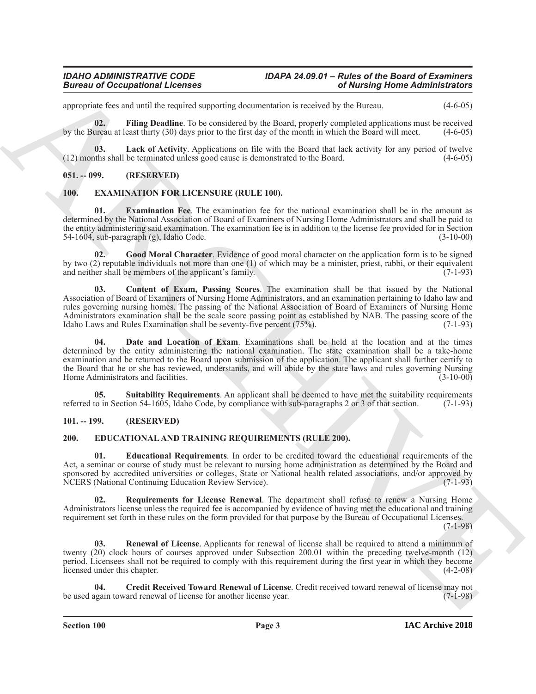### *Bureau of Occupational Licenses*

## *IDAHO ADMINISTRATIVE CODE IDAPA 24.09.01 – Rules of the Board of Examiners*

appropriate fees and until the required supporting documentation is received by the Bureau. (4-6-05)

<span id="page-2-4"></span>**02. Filing Deadline**. To be considered by the Board, properly completed applications must be received by the Bureau at least thirty (30) days prior to the first day of the month in which the Board will meet. (4-6-05)

<span id="page-2-5"></span>**03.** Lack of Activity. Applications on file with the Board that lack activity for any period of twelve this shall be terminated unless good cause is demonstrated to the Board. (4-6-05)  $(12)$  months shall be terminated unless good cause is demonstrated to the Board.

#### <span id="page-2-0"></span>**051. -- 099. (RESERVED)**

#### <span id="page-2-11"></span><span id="page-2-1"></span>**100. EXAMINATION FOR LICENSURE (RULE 100).**

<span id="page-2-14"></span>**Examination Fee**. The examination fee for the national examination shall be in the amount as determined by the National Association of Board of Examiners of Nursing Home Administrators and shall be paid to the entity administering said examination. The examination fee is in addition to the license fee provided for in Section 54-1604, sub-paragraph (g), Idaho Code. (3-10-00)

<span id="page-2-15"></span><span id="page-2-12"></span>**02. Good Moral Character**. Evidence of good moral character on the application form is to be signed by two (2) reputable individuals not more than one (1) of which may be a minister, priest, rabbi, or their equivalent and neither shall be members of the applicant's family. (7-1-93)

**Extrained the control of the section of the section of the section of the section of the section of the section of the section of the section of the section of the section of the section of the section of the section of 03. Content of Exam, Passing Scores**. The examination shall be that issued by the National Association of Board of Examiners of Nursing Home Administrators, and an examination pertaining to Idaho law and rules governing nursing homes. The passing of the National Association of Board of Examiners of Nursing Home Administrators examination shall be the scale score passing point as established by NAB. The passing score of the Idaho Laws and Rules Examination shall be seventy-five percent (75%). Idaho Laws and Rules Examination shall be seventy-five percent  $(75%)$ .

<span id="page-2-13"></span>**04. Date and Location of Exam**. Examinations shall be held at the location and at the times determined by the entity administering the national examination. The state examination shall be a take-home examination and be returned to the Board upon submission of the application. The applicant shall further certify to the Board that he or she has reviewed, understands, and will abide by the state laws and rules governing Nursing Home Administrators and facilities. (3-10-00)

<span id="page-2-16"></span>**05.** Suitability Requirements. An applicant shall be deemed to have met the suitability requirements to in Section 54-1605. Idaho Code, by compliance with sub-paragraphs 2 or 3 of that section. (7-1-93) referred to in Section 54-1605, Idaho Code, by compliance with sub-paragraphs 2 or 3 of that section.

#### <span id="page-2-6"></span><span id="page-2-2"></span>**101. -- 199. (RESERVED)**

#### <span id="page-2-3"></span>**200. EDUCATIONAL AND TRAINING REQUIREMENTS (RULE 200).**

<span id="page-2-8"></span>**01. Educational Requirements**. In order to be credited toward the educational requirements of the Act, a seminar or course of study must be relevant to nursing home administration as determined by the Board and sponsored by accredited universities or colleges, State or National health related associations, and/or approved by<br>NCERS (National Continuing Education Review Service). (7-1-93) NCERS (National Continuing Education Review Service).

<span id="page-2-10"></span>**02. Requirements for License Renewal**. The department shall refuse to renew a Nursing Home Administrators license unless the required fee is accompanied by evidence of having met the educational and training requirement set forth in these rules on the form provided for that purpose by the Bureau of Occupational Licenses. (7-1-98)

<span id="page-2-9"></span>**03. Renewal of License**. Applicants for renewal of license shall be required to attend a minimum of twenty (20) clock hours of courses approved under Subsection 200.01 within the preceding twelve-month (12) period. Licensees shall not be required to comply with this requirement during the first year in which they become licensed under this chapter. (4-2-08)

<span id="page-2-7"></span>**04. Credit Received Toward Renewal of License**. Credit received toward renewal of license may not be used again toward renewal of license for another license year. (7-1-98)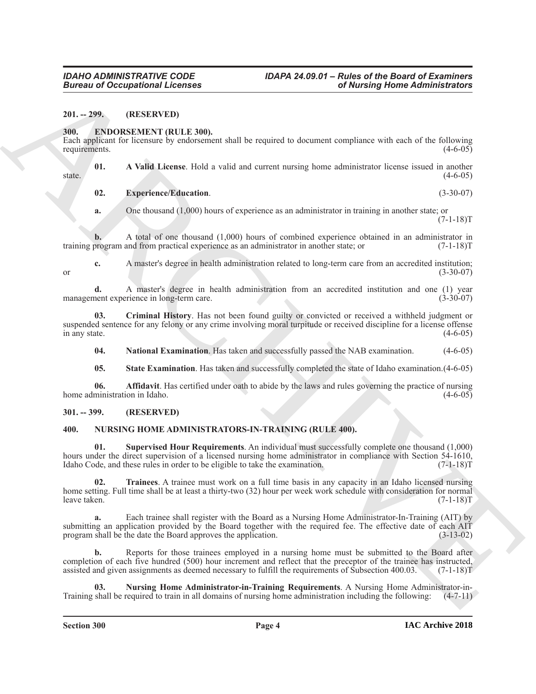<span id="page-3-0"></span>**201. -- 299. (RESERVED)**

#### <span id="page-3-4"></span><span id="page-3-1"></span>**300. ENDORSEMENT (RULE 300).**

Each applicant for licensure by endorsement shall be required to document compliance with each of the following requirements.

**01. A Valid License**. Hold a valid and current nursing home administrator license issued in another  $s$  state.  $(4-6-05)$ 

<span id="page-3-8"></span><span id="page-3-5"></span>**02. Experience/Education**. (3-30-07)

**a.** One thousand (1,000) hours of experience as an administrator in training in another state; or  $(7-1-18)T$ 

**b.** A total of one thousand (1,000) hours of combined experience obtained in an administrator in program and from practical experience as an administrator in another state; or  $(7-1-18)$ T training program and from practical experience as an administrator in another state; or

**c.** A master's degree in health administration related to long-term care from an accredited institution;<br>(3-30-07) or  $(3-30-07)$ 

**d.** A master's degree in health administration from an accredited institution and one (1) year nent experience in long-term care. management experience in long-term care.

**03. Criminal History**. Has not been found guilty or convicted or received a withheld judgment or suspended sentence for any felony or any crime involving moral turpitude or received discipline for a license offense in any state. (4-6-05)

<span id="page-3-9"></span><span id="page-3-7"></span>**04. National Examination**. Has taken and successfully passed the NAB examination. (4-6-05)

<span id="page-3-10"></span><span id="page-3-6"></span>**05. State Examination**. Has taken and successfully completed the state of Idaho examination.(4-6-05)

**06. Affidavit**. Has certified under oath to abide by the laws and rules governing the practice of nursing home administration in Idaho. (4-6-05)

#### <span id="page-3-2"></span>**301. -- 399. (RESERVED)**

#### <span id="page-3-13"></span><span id="page-3-11"></span><span id="page-3-3"></span>**400. NURSING HOME ADMINISTRATORS-IN-TRAINING (RULE 400).**

**EUCAL CONSULTATION CONTINUES AND ACCURACY CONTINUES AND ACCURACY CONTINUES AND ACCURACY (EVERY AND ACCURACY CONTINUES AND ACCURACY CONTINUES AND ACCURACY (EVERY AND ACCURACY CONTINUES AND ACCURACY (EVERY AND ACCURACY CON 01. Supervised Hour Requirements**. An individual must successfully complete one thousand (1,000) hours under the direct supervision of a licensed nursing home administrator in compliance with Section 54-1610, Idaho Code, and these rules in order to be eligible to take the examination. (7-1-18)T

<span id="page-3-14"></span>**02. Trainees**. A trainee must work on a full time basis in any capacity in an Idaho licensed nursing home setting. Full time shall be at least a thirty-two (32) hour per week work schedule with consideration for normal leave taken. (7-1-18)T leave taken. (7-1-18)T

**a.** Each trainee shall register with the Board as a Nursing Home Administrator-In-Training (AIT) by submitting an application provided by the Board together with the required fee. The effective date of each AIT program shall be the date the Board approves the application. (3-13-02) program shall be the date the Board approves the application.

**b.** Reports for those trainees employed in a nursing home must be submitted to the Board after completion of each five hundred (500) hour increment and reflect that the preceptor of the trainee has instructed, assisted and given assignments as deemed necessary to fulfill the requirements of Subsection 400.03. (7-1-18)T

<span id="page-3-12"></span>**03. Nursing Home Administrator-in-Training Requirements**. A Nursing Home Administrator-in-Training shall be required to train in all domains of nursing home administration including the following: (4-7-11)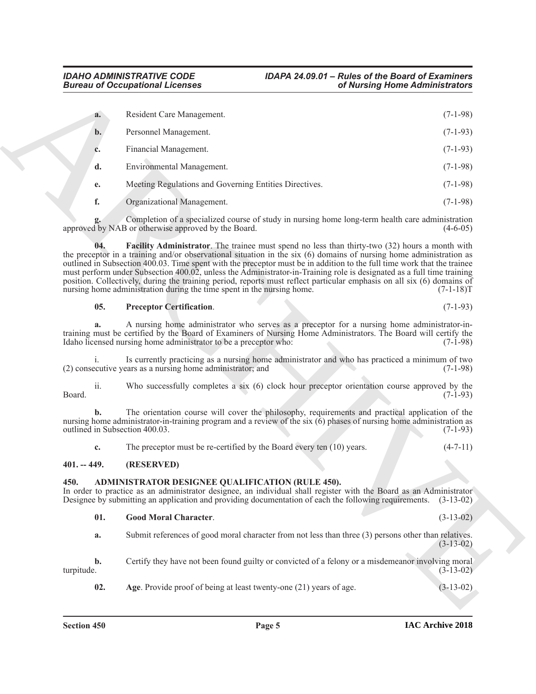|                                                                          | <b>Bureau of Occupational Licenses</b>                                                                                                                                                                                                                                                                                                                                                                                                                                                                                                                                                                                                                                                 | of Nursing Home Administrators             |
|--------------------------------------------------------------------------|----------------------------------------------------------------------------------------------------------------------------------------------------------------------------------------------------------------------------------------------------------------------------------------------------------------------------------------------------------------------------------------------------------------------------------------------------------------------------------------------------------------------------------------------------------------------------------------------------------------------------------------------------------------------------------------|--------------------------------------------|
| a.                                                                       | Resident Care Management.                                                                                                                                                                                                                                                                                                                                                                                                                                                                                                                                                                                                                                                              | $(7-1-98)$                                 |
| $b$ .                                                                    | Personnel Management.                                                                                                                                                                                                                                                                                                                                                                                                                                                                                                                                                                                                                                                                  | $(7-1-93)$                                 |
| c.                                                                       | Financial Management.                                                                                                                                                                                                                                                                                                                                                                                                                                                                                                                                                                                                                                                                  | $(7-1-93)$                                 |
| d.                                                                       | Environmental Management.                                                                                                                                                                                                                                                                                                                                                                                                                                                                                                                                                                                                                                                              | $(7-1-98)$                                 |
| e.                                                                       | Meeting Regulations and Governing Entities Directives.                                                                                                                                                                                                                                                                                                                                                                                                                                                                                                                                                                                                                                 | $(7-1-98)$                                 |
| f.                                                                       | Organizational Management.                                                                                                                                                                                                                                                                                                                                                                                                                                                                                                                                                                                                                                                             | $(7-1-98)$                                 |
|                                                                          | Completion of a specialized course of study in nursing home long-term health care administration<br>approved by NAB or otherwise approved by the Board.                                                                                                                                                                                                                                                                                                                                                                                                                                                                                                                                | $(4-6-05)$                                 |
| 04.                                                                      | <b>Facility Administrator.</b> The trainee must spend no less than thirty-two (32) hours a month with<br>the preceptor in a training and/or observational situation in the six $(6)$ domains of nursing home administration as<br>outlined in Subsection 400.03. Time spent with the preceptor must be in addition to the full time work that the trainee<br>must perform under Subsection 400.02, unless the Administrator-in-Training role is designated as a full time training<br>position. Collectively, during the training period, reports must reflect particular emphasis on all six (6) domains of<br>nursing home administration during the time spent in the nursing home. | $(7-1-18)T$                                |
| 05.                                                                      | <b>Preceptor Certification.</b>                                                                                                                                                                                                                                                                                                                                                                                                                                                                                                                                                                                                                                                        | $(7-1-93)$                                 |
| a.                                                                       | A nursing home administrator who serves as a preceptor for a nursing home administrator-in-<br>training must be certified by the Board of Examiners of Nursing Home Administrators. The Board will certify the<br>Idaho licensed nursing home administrator to be a preceptor who:                                                                                                                                                                                                                                                                                                                                                                                                     | $(7-1-98)$                                 |
|                                                                          | Is currently practicing as a nursing home administrator and who has practiced a minimum of two<br>(2) consecutive years as a nursing home administrator; and                                                                                                                                                                                                                                                                                                                                                                                                                                                                                                                           | $(7-1-98)$                                 |
| ii.                                                                      | Who successfully completes a six (6) clock hour preceptor orientation course approved by the                                                                                                                                                                                                                                                                                                                                                                                                                                                                                                                                                                                           |                                            |
|                                                                          |                                                                                                                                                                                                                                                                                                                                                                                                                                                                                                                                                                                                                                                                                        |                                            |
|                                                                          | The orientation course will cover the philosophy, requirements and practical application of the<br>nursing home administrator-in-training program and a review of the six (6) phases of nursing home administration as                                                                                                                                                                                                                                                                                                                                                                                                                                                                 |                                            |
| c.                                                                       | The preceptor must be re-certified by the Board every ten $(10)$ years.                                                                                                                                                                                                                                                                                                                                                                                                                                                                                                                                                                                                                | $(7-1-93)$<br>$(7-1-93)$<br>$(4 - 7 - 11)$ |
|                                                                          | (RESERVED)                                                                                                                                                                                                                                                                                                                                                                                                                                                                                                                                                                                                                                                                             |                                            |
|                                                                          | ADMINISTRATOR DESIGNEE QUALIFICATION (RULE 450).<br>In order to practice as an administrator designee, an individual shall register with the Board as an Administrator<br>Designee by submitting an application and providing documentation of each the following requirements.                                                                                                                                                                                                                                                                                                                                                                                                        | $(3-13-02)$                                |
| Board.<br>outlined in Subsection 400.03.<br>$401. - 449.$<br>450.<br>01. | <b>Good Moral Character.</b>                                                                                                                                                                                                                                                                                                                                                                                                                                                                                                                                                                                                                                                           | $(3-13-02)$                                |
| a.                                                                       | Submit references of good moral character from not less than three (3) persons other than relatives.                                                                                                                                                                                                                                                                                                                                                                                                                                                                                                                                                                                   | $(3-13-02)$                                |
| b.<br>turpitude.                                                         | Certify they have not been found guilty or convicted of a felony or a misdemeanor involving moral                                                                                                                                                                                                                                                                                                                                                                                                                                                                                                                                                                                      | $(3-13-02)$                                |

#### <span id="page-4-6"></span><span id="page-4-5"></span>**05. Preceptor Certification**. (7-1-93)

#### <span id="page-4-0"></span>**401. -- 449. (RESERVED)**

#### <span id="page-4-2"></span><span id="page-4-1"></span>**450. ADMINISTRATOR DESIGNEE QUALIFICATION (RULE 450).**

<span id="page-4-4"></span><span id="page-4-3"></span>

|  | <b>Good Moral Character.</b> |  |  | $(3-13-02)$ |  |  |  |
|--|------------------------------|--|--|-------------|--|--|--|
|--|------------------------------|--|--|-------------|--|--|--|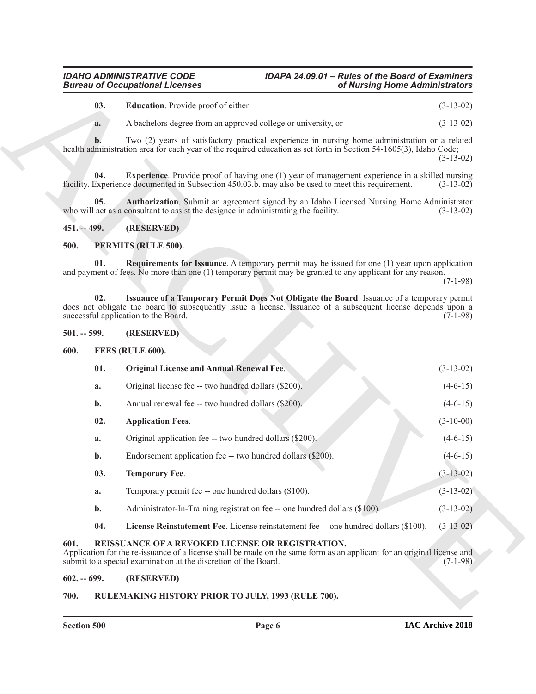### *Bureau of Occupational Licenses*

## <span id="page-5-8"></span>*IDAHO ADMINISTRATIVE CODE IDAPA 24.09.01 – Rules of the Board of Examiners*

#### <span id="page-5-9"></span><span id="page-5-7"></span><span id="page-5-0"></span>**451. -- 499. (RESERVED)**

#### <span id="page-5-17"></span><span id="page-5-15"></span><span id="page-5-1"></span>**500. PERMITS (RULE 500).**

#### <span id="page-5-16"></span><span id="page-5-2"></span>**501. -- 599. (RESERVED)**

#### <span id="page-5-13"></span><span id="page-5-11"></span><span id="page-5-10"></span><span id="page-5-3"></span>**600. FEES (RULE 600).**

| <b>Bureau of Occupational Licenses</b> |                                             |                                                                                                                                                                                                                                                       | of Nursing Home Administrators |  |
|----------------------------------------|---------------------------------------------|-------------------------------------------------------------------------------------------------------------------------------------------------------------------------------------------------------------------------------------------------------|--------------------------------|--|
|                                        | 03.                                         | <b>Education</b> . Provide proof of either:                                                                                                                                                                                                           | $(3-13-02)$                    |  |
|                                        | a.                                          | A bachelors degree from an approved college or university, or                                                                                                                                                                                         | $(3-13-02)$                    |  |
|                                        | h.                                          | Two (2) years of satisfactory practical experience in nursing home administration or a related<br>health administration area for each year of the required education as set forth in Section 54-1605(3), Idaho Code;                                  | $(3-13-02)$                    |  |
|                                        | 04.                                         | <b>Experience</b> . Provide proof of having one (1) year of management experience in a skilled nursing<br>facility. Experience documented in Subsection 450.03.b. may also be used to meet this requirement.                                          | $(3-13-02)$                    |  |
|                                        | 05.                                         | Authorization. Submit an agreement signed by an Idaho Licensed Nursing Home Administrator<br>who will act as a consultant to assist the designee in administrating the facility.                                                                      | $(3-13-02)$                    |  |
| $451 - 499.$                           |                                             | (RESERVED)                                                                                                                                                                                                                                            |                                |  |
| 500.                                   | PERMITS (RULE 500).                         |                                                                                                                                                                                                                                                       |                                |  |
|                                        | 01.                                         | <b>Requirements for Issuance</b> . A temporary permit may be issued for one (1) year upon application<br>and payment of fees. No more than one (1) temporary permit may be granted to any applicant for any reason.                                   | $(7-1-98)$                     |  |
|                                        | 02.<br>successful application to the Board. | Issuance of a Temporary Permit Does Not Obligate the Board. Issuance of a temporary permit<br>does not obligate the board to subsequently issue a license. Issuance of a subsequent license depends upon a                                            | $(7-1-98)$                     |  |
| $501. - 599.$                          |                                             | (RESERVED)                                                                                                                                                                                                                                            |                                |  |
| 600.                                   | FEES (RULE 600).                            |                                                                                                                                                                                                                                                       |                                |  |
|                                        | 01.                                         | <b>Original License and Annual Renewal Fee.</b>                                                                                                                                                                                                       | $(3-13-02)$                    |  |
|                                        | a.                                          | Original license fee -- two hundred dollars (\$200).                                                                                                                                                                                                  | $(4-6-15)$                     |  |
|                                        | $\mathbf{b}$ .                              | Annual renewal fee -- two hundred dollars (\$200).                                                                                                                                                                                                    | $(4-6-15)$                     |  |
|                                        | 02.                                         | <b>Application Fees.</b>                                                                                                                                                                                                                              | $(3-10-00)$                    |  |
|                                        | a.                                          | Original application fee -- two hundred dollars (\$200).                                                                                                                                                                                              | $(4-6-15)$                     |  |
|                                        | b.                                          | Endorsement application fee -- two hundred dollars (\$200).                                                                                                                                                                                           | $(4-6-15)$                     |  |
|                                        | 03.                                         | <b>Temporary Fee.</b>                                                                                                                                                                                                                                 | $(3-13-02)$                    |  |
|                                        | a.                                          | Temporary permit fee -- one hundred dollars (\$100).                                                                                                                                                                                                  | $(3-13-02)$                    |  |
|                                        | $\mathbf{b}$ .                              | Administrator-In-Training registration fee -- one hundred dollars (\$100).                                                                                                                                                                            | $(3-13-02)$                    |  |
|                                        | 04.                                         | License Reinstatement Fee. License reinstatement fee -- one hundred dollars (\$100).                                                                                                                                                                  | $(3-13-02)$                    |  |
| 601.                                   |                                             | <b>REISSUANCE OF A REVOKED LICENSE OR REGISTRATION.</b><br>Application for the re-issuance of a license shall be made on the same form as an applicant for an original license and<br>submit to a special examination at the discretion of the Board. | $(7-1-98)$                     |  |
| $602. - 699.$                          |                                             | (RESERVED)                                                                                                                                                                                                                                            |                                |  |
|                                        |                                             |                                                                                                                                                                                                                                                       |                                |  |

#### <span id="page-5-18"></span><span id="page-5-14"></span><span id="page-5-12"></span><span id="page-5-5"></span><span id="page-5-4"></span>**602. -- 699. (RESERVED)**

#### <span id="page-5-6"></span>**700. RULEMAKING HISTORY PRIOR TO JULY, 1993 (RULE 700).**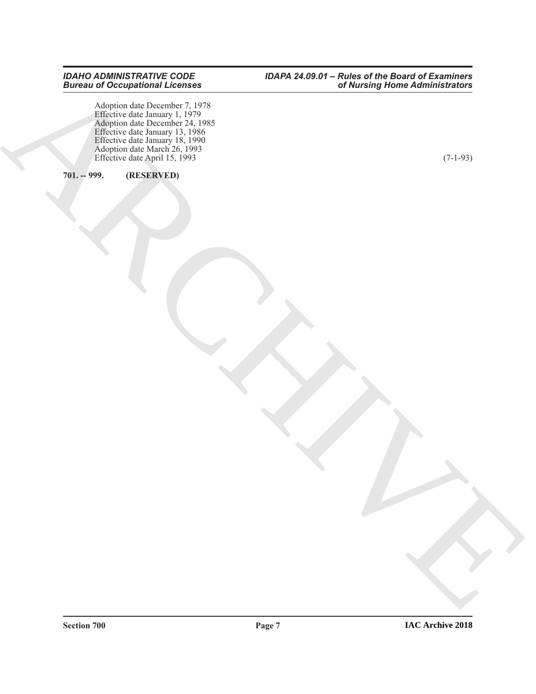**REGISTER** Adoption date December 7, 1978 Effective date January 1, 1979 Adoption date December 24, 1985 Effective date January 13, 1986 Effective date January 18, 1990 Adoption date March 26, 1993 Effective date April 15, 1993 (7-1-93)

#### <span id="page-6-0"></span>**701. -- 999. (RESERVED)**